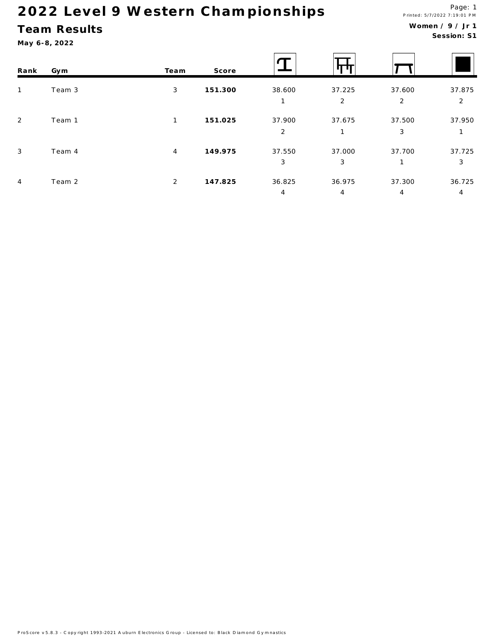## Team Results

May 6-8, 2022

#### Women / 9 / Jr 1 Session: S1

| Rank           | Gym    | Team           | Score   |                          |                        |             |                          |
|----------------|--------|----------------|---------|--------------------------|------------------------|-------------|--------------------------|
| $\mathbf{1}$   | Team 3 | 3              | 151.300 | 38.600                   | 37.225<br>2            | 37.600<br>2 | 37.875<br>$\overline{2}$ |
| $\overline{2}$ | Team 1 | $\mathbf{1}$   | 151.025 | 37.900<br>$\overline{2}$ | 37.675<br>$\mathbf{1}$ | 37.500<br>3 | 37.950                   |
| $\mathbf{3}$   | Team 4 | $\overline{4}$ | 149.975 | 37.550<br>3              | 37.000<br>3            | 37.700<br>1 | 37.725<br>3              |
| $\overline{4}$ | Team 2 | 2              | 147.825 | 36.825<br>4              | 36.975<br>4            | 37.300<br>4 | 36.725<br>4              |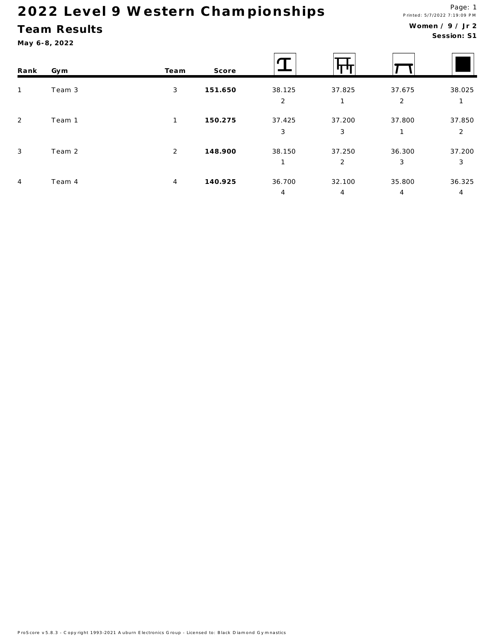## Team Results

May 6-8, 2022

#### Women  $/9$  / Jr 2 Session: S1

| Rank           | Gym    | Team           | Score   |                          | Ш           |             |                          |
|----------------|--------|----------------|---------|--------------------------|-------------|-------------|--------------------------|
| $\mathbf{1}$   | Team 3 | 3              | 151.650 | 38.125<br>$\overline{2}$ | 37.825      | 37.675<br>2 | 38.025                   |
| $\overline{2}$ | Team 1 | 1              | 150.275 | 37.425<br>3              | 37.200<br>3 | 37.800<br>1 | 37.850<br>$\overline{2}$ |
| $\mathbf{3}$   | Team 2 | 2              | 148.900 | 38.150                   | 37.250<br>2 | 36.300<br>3 | 37.200<br>3              |
| $\overline{4}$ | Team 4 | $\overline{4}$ | 140.925 | 36.700<br>4              | 32.100<br>4 | 35.800<br>4 | 36.325<br>4              |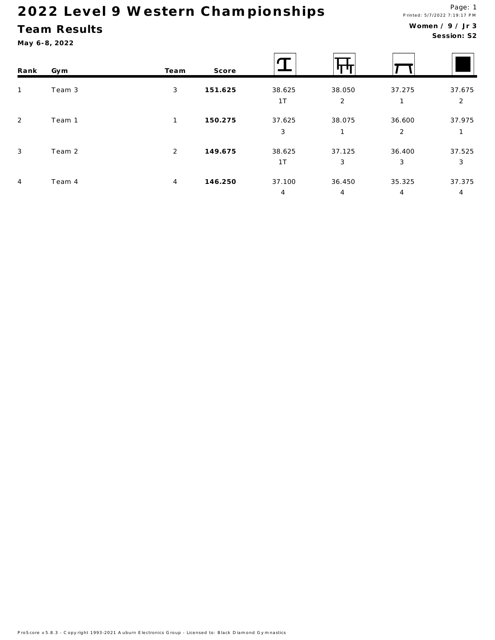## Team Results

| Rank           | Gym    | Team | Score   |                          |                          |                          |                          |
|----------------|--------|------|---------|--------------------------|--------------------------|--------------------------|--------------------------|
| $\mathbf{1}$   | Team 3 | 3    | 151.625 | 38.625<br>1T             | 38.050<br>2              | 37.275<br>$\mathbf{1}$   | 37.675<br>$\overline{2}$ |
| 2              | Team 1 | 1    | 150.275 | 37.625<br>3              | 38.075<br>$\mathbf{1}$   | 36.600<br>2              | 37.975                   |
| $\mathbf{3}$   | Team 2 | 2    | 149.675 | 38.625<br>1T             | 37.125<br>3              | 36.400<br>3              | 37.525<br>3              |
| $\overline{4}$ | Team 4 | 4    | 146.250 | 37.100<br>$\overline{4}$ | 36.450<br>$\overline{4}$ | 35.325<br>$\overline{4}$ | 37.375<br>$\overline{4}$ |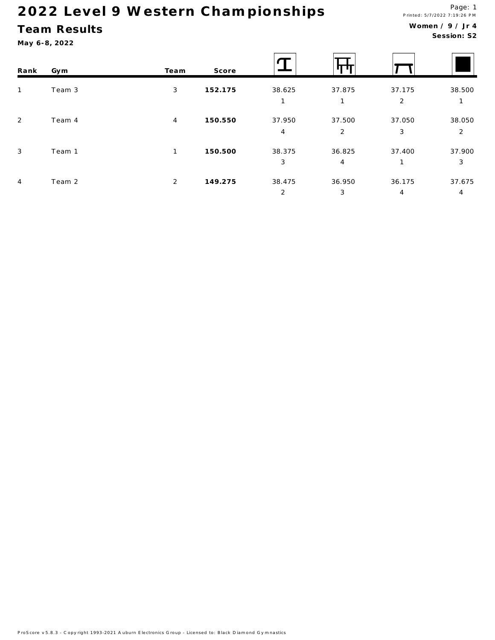## Team Results

May 6-8, 2022

#### Women / 9 / Jr 4 Session: S2

| Rank           | Gym    | Team           | Score   |                |        |                |        |
|----------------|--------|----------------|---------|----------------|--------|----------------|--------|
| $\mathbf{1}$   | Team 3 | 3              | 152.175 | 38.625         | 37.875 | 37.175         | 38.500 |
|                |        |                |         |                | 1      | 2              | 1      |
| $\overline{2}$ | Team 4 | 4              | 150.550 | 37.950         | 37.500 | 37.050         | 38.050 |
|                |        |                |         | $\overline{4}$ | 2      | 3              | 2      |
| $\mathbf{3}$   | Team 1 | 1              | 150.500 | 38.375         | 36.825 | 37.400         | 37.900 |
|                |        |                |         | 3              | 4      |                | 3      |
| $\overline{4}$ | Team 2 | $\overline{2}$ | 149.275 | 38.475         | 36.950 | 36.175         | 37.675 |
|                |        |                |         | 2              | 3      | $\overline{4}$ | 4      |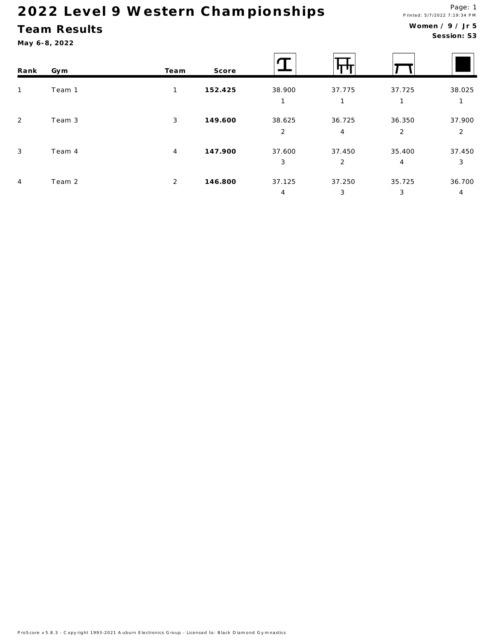## Team Results

| Rank           | Gym    | Team           | Score   |                          |                          |                          |                          |
|----------------|--------|----------------|---------|--------------------------|--------------------------|--------------------------|--------------------------|
| $\mathbf{1}$   | Team 1 | 1              | 152.425 | 38.900<br>1              | 37.775<br>$\mathbf{1}$   | 37.725<br>$\mathbf{1}$   | 38.025                   |
| $\overline{2}$ | Team 3 | 3              | 149.600 | 38.625<br>$\overline{2}$ | 36.725<br>$\overline{4}$ | 36.350<br>$\overline{2}$ | 37.900<br>$\overline{2}$ |
| $\mathbf{3}$   | Team 4 | $\overline{4}$ | 147.900 | 37.600<br>3              | 37.450<br>2              | 35.400<br>4              | 37.450<br>3              |
| $\overline{4}$ | Team 2 | $\overline{2}$ | 146.800 | 37.125<br>4              | 37.250<br>3              | 35.725<br>3              | 36.700<br>4              |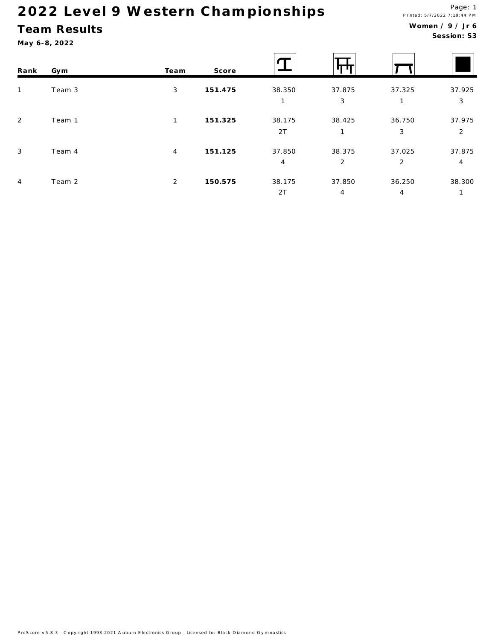## Team Results

| Rank           | Gym    | Team           | Score   |              |                          |                          |             |
|----------------|--------|----------------|---------|--------------|--------------------------|--------------------------|-------------|
| $\mathbf{1}$   | Team 3 | 3              | 151.475 | 38.350       | 37.875<br>3              | 37.325                   | 37.925<br>3 |
| 2              | Team 1 | 1              | 151.325 | 38.175<br>2T | 38.425                   | 36.750<br>3              | 37.975<br>2 |
| 3              | Team 4 | 4              | 151.125 | 37.850<br>4  | 38.375<br>2              | 37.025<br>2              | 37.875<br>4 |
| $\overline{4}$ | Team 2 | $\overline{2}$ | 150.575 | 38.175<br>2T | 37.850<br>$\overline{4}$ | 36.250<br>$\overline{4}$ | 38.300      |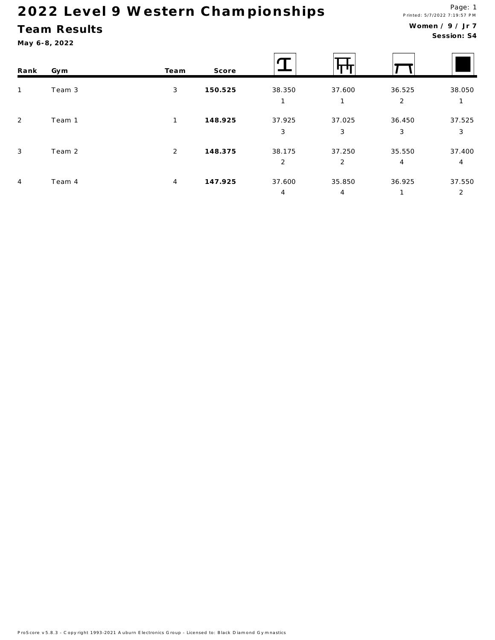## Team Results

| Rank           | Gym    | Team         | Score   |                          |                          |                          |                          |
|----------------|--------|--------------|---------|--------------------------|--------------------------|--------------------------|--------------------------|
| $\mathbf{1}$   | Team 3 | 3            | 150.525 | 38.350                   | 37.600<br>1              | 36.525<br>2              | 38.050                   |
| 2              | Team 1 | $\mathbf{1}$ | 148.925 | 37.925<br>3              | 37.025<br>3              | 36.450<br>3              | 37.525<br>3              |
| 3              | Team 2 | 2            | 148.375 | 38.175<br>$\overline{2}$ | 37.250<br>$\overline{2}$ | 35.550<br>$\overline{4}$ | 37.400<br>4              |
| $\overline{4}$ | Team 4 | 4            | 147.925 | 37.600<br>4              | 35.850<br>$\overline{4}$ | 36.925<br>1              | 37.550<br>$\overline{2}$ |